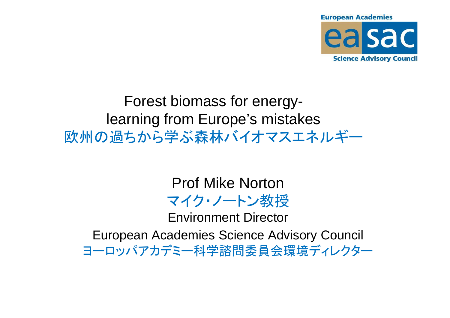

### Forest biomass for energylearning from Europe's mistakes欧州の過ちから学ぶ森林バイオマスエネルギー

Prof Mike Norton マイク・ノートン教授 Environment DirectorEuropean Academies Science Advisory Councilヨーロッパアカデミー科学諮問委員会環境ディレクター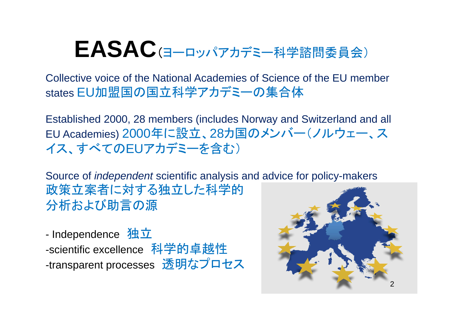# **EASAC**(ヨーロッパアカデミー科学諮問委員会)

Collective voice of the National Academies of Science of the EU member states EU加盟国の国立科学アカデミーの集合体

Established 2000, 28 members (includes Norway and Switzerland and all EU Academies) <sup>2000</sup>年に設立、28カ国のメンバー(ノルウェー、スイス、すべてのEUアカデミーを含む)

Source of independent scientific analysis and advice for policy-makers政策立案者に対する独立した科学的分析および助言の源

- Independence 独立 -scientific excellence 科学的卓越性 -transparent processes 透明なプロセス

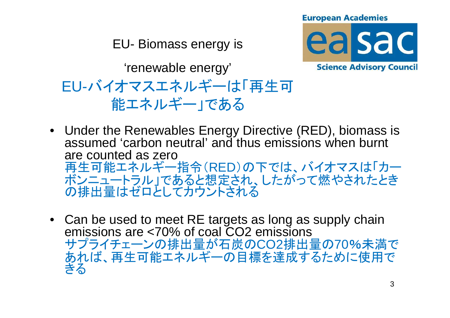EU- Biomass energy is



'renewable energy'EU-バイオマスエネルギーは「再生可能エネルギー」である

- Under the Renewables Energy Directive (RED), biomass is assumed 'carbon neutral' and thus emissions when burnt are counted as zero再生可能エネルギー指令(RED)の下では、バイオマスは「カー ボンニュートラル」であると想定され、したがって燃やされたときの排出量はゼロとしてカウントされる
- Can be used to meet RE targets as long as supply chain emissions are <70% of coal CO2 emissionsサプライチェーンの排出量が石炭のCO2排出量の70%未満で あれば、再生可能エネルギーの目標を達成するために使用できる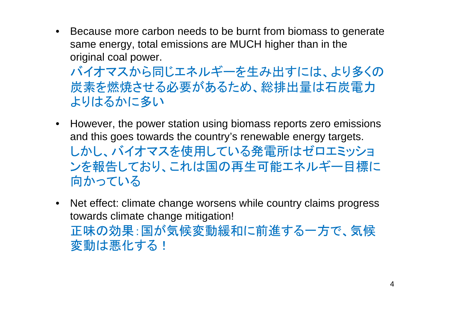• Because more carbon needs to be burnt from biomass to generate same energy, total emissions are MUCH higher than in the original coal power.

バイオマスから同じエネルギーを生み出すには、より多くの 炭素を燃焼させる必要があるため、総排出量は石炭電力よりはるかに多い

- However, the power station using biomass reports zero emissions and this goes towards the country's renewable energy targets.しかし、バイオマスを使用している発電所はゼロエミッショ ンを報告しており、これは国の再生可能エネルギー目標に向かっている
- Net effect: climate change worsens while country claims progress towards climate change mitigation!正味の効果:国が気候変動緩和に前進する一方で、気候変動は悪化する!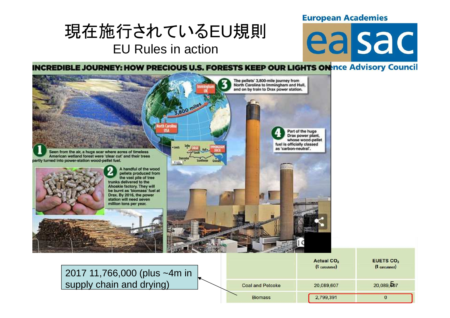### 現在施行されているEU規則EU Rules in action

# easac

FUETO OO

**INCREDIBLE JOURNEY: HOW PRECIOUS U.S. FORESTS KEEP OUR LIGHTS ON THE Advisory Council** 



2017 11,766,000 (plus ~4m in supply chain and drying)

|                         | Actual CO $_2$<br>(t calculated) | CUEIOU <sub>2</sub><br>(t calculated) |
|-------------------------|----------------------------------|---------------------------------------|
| <b>Coal and Petcoke</b> | 20,089,607                       | 20,089,607                            |
| <b>Biomass</b>          | 2,799,391                        | υ                                     |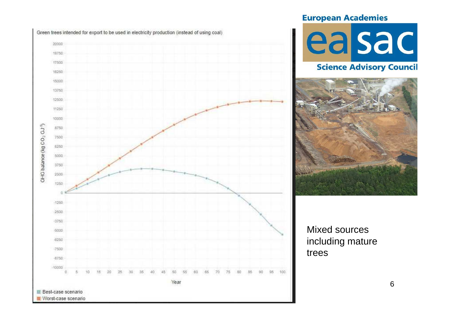



#### **Science Advisory Council**



#### Mixed sources including mature trees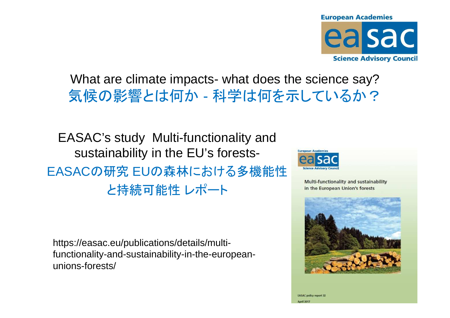

#### What are climate impacts- what does the science say?気候の影響とは何か - 科学は何を示しているか、 科学は何を示しているか?

EASAC's study Multi-functionality and sustainability in the EU's forests-EASACの研究 EUの森林における多機能性 と持続可能性 レポート

https://easac.eu/publications/details/multifunctionality-and-sustainability-in-the-europeanunions-forests/



Multi-functionality and sustainability in the European Union's forests



**EASAC** policy report 32 **April 2017**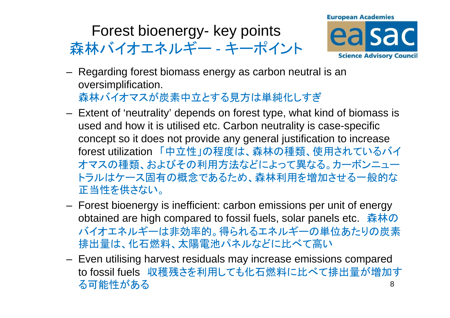#### Forest bioenergy- key points森林バイオエネルギー - キーポィ -キーポイント



- Ranarding forast hiomass Regarding forest biomass energy as carbon neutral is an oversimplification.森林バイオマスが炭素中立とする見方は単純化しすぎ
- Evtant of 'nautrality' danande on toraet tyna what Extent of 'neutrality' depends on forest type, what kind of biomass is used and how it is utilised etc. Carbon neutrality is case-specific concept so it does not provide any general justification to increase forest utilization 「中立性」の程度は、森林の種類、使用されているバイオマスの種類、およびその利用方法などによって異なる。カーボンニュー トラルはケース固有の概念であるため、森林利用を増加させる一般的な正当性を供さない。
- $\sim$  Forest bioenergy is inefficient: carbon emissions per unit of energy obtained are high compared to fossil fuels, solar panels etc. 森林の バイオエネルギーは非効率的。得られるエネルギーの単位あたりの炭素排出量は、化石燃料、太陽電池パネルなどに比べて高い
- EVAN HIJIRINA NAMARI JARINIJAIR MAV INPIAARA AMIRRI Even utilising harvest residuals may increase emissions compared to fossil fuels 収穫残さを利用しても化石燃料に比べて排出量が増加す 8る可能性がある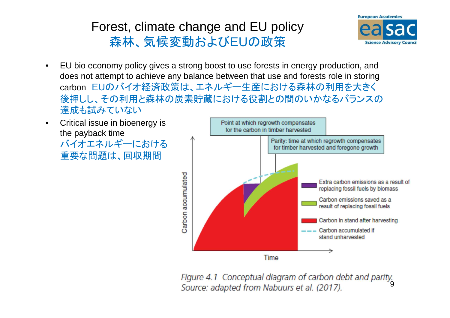### Forest, climate change and EU policy森林、気候変動およびEUの政策



- • EU bio economy policy gives a strong boost to use forests in energy production, and does not attempt to achieve any balance between that use and forests role in storing carbon EUのバイオ経済政策は、エネルギー生産における森林の利用を大きく 後押しし、その利用と森林の炭素貯蔵における役割との間のいかなるバランスの達成も試みていない
- Critical issue in bioenergy is •the payback time バイオエネルギーにおける重要な問題は、回収期間



9Source: adapted from Nabuurs et al. (2017).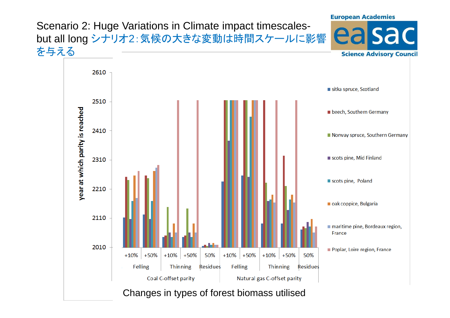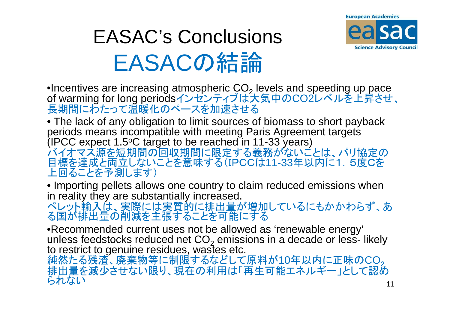

# EASAC's ConclusionsEASACの結論

 •Incentives are increasing atmospheric CO2∙Incentives are increasing atmospheric CO<sub>2</sub> levels and speeding up pace<br>of warming for long periodsインセンティブは大気中のCO2レベルを上昇させ、 長期間にわたって温暖化のペースを加速させる

 • The lack of any obligation to limit sources of biomass to short payback periods means incompatible with meeting Paris Agreement targets (IPCC expect 1.5(IPCC expect 1.5°C target to be reached in 11-33 years)<br>バイオマス源を短期間の回収期間に限定する義務がないことは、パリ協定の 目標を達成と両立しないことを意味する(IPCCは11-33年以内に1.5度Cを上回ることを予測します)

 • Importing pellets allows one country to claim reduced emissions when in reality they are substantially increased.

 ペレット輸入は、実際には実質的に排出量が増加しているにもかかわらず、ある国が排出量の削減を主張することを可能にする

 •Recommended current uses not be allowed as 'renewable energy' unless feedstocks reduced net CO $_2$  emissions in a decade or less-  $\,$ unless feedstocks reduced net CO<sub>2</sub> emissions in a decade or less- likely<br>to restrict to genuine residues, wastes etc.

純然たる残渣、廃棄物等に制限するなどして原料が10年以内に正味の $\mathsf{CO}_2$  排出量を減少させない限り、現在の利用は「再生可能エネルギー」として認められない しゅうしゅう しゅうしゅう しゅうしゅう しゅうしゅう しゅうしゅう しゅうしゅう  $11$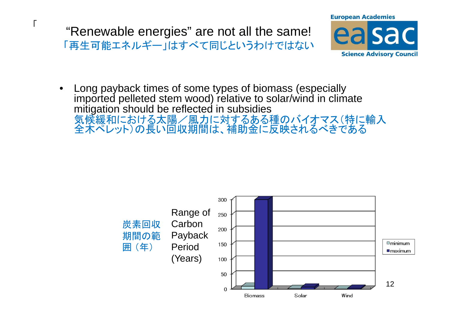"Renewable energies" are not all the same!「再生可能エネルギー」はすべて同じというわけではない

 $\sqrt{ }$ 



• Long payback times of some types of biomass (especially imported pelleted stem wood) relative to solar/wind in climate mitigation should be reflected in subsidies 気候緩和における太陽/風力に対するある種のバイオマス(特に輸入 全木ペレット)の長い回収期間は、補助金に反映されるべきである

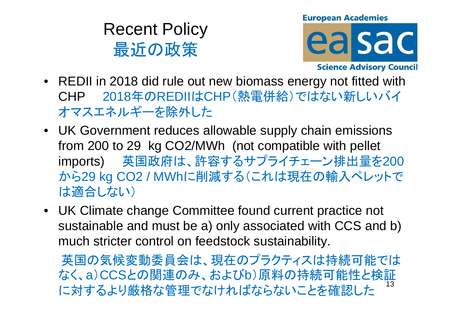Recent Policy最近の政策



- REDII in 2018 did rule out new biomass energy not fitted with CHP <sup>2018</sup>年のREDIIはCHP(熱電併給)ではない新しいバイオマスエネルギーを除外した
- UK Government reduces allowable supply chain emissions from 200 to 29 kg CO2/MWh (not compatible with pellet 英国政府は、許容するサプライチェーン排出量を<sup>200</sup>imports) から29 kg CO2 / MWhに削減する(これは現在の輸入ペレットでは適合しない)
- UK Climate change Committee found current practice not sustainable and must be a) only associated with CCS and b)much stricter control on feedstock sustainability.

英国の気候変動委員会は、現在のプラクティスは持続可能では なく、a)CCSとの関連のみ、およびb)原料の持続可能性と検証に対するより厳格な管理でなければならな<mark>いことを</mark>確認した <sup>13</sup>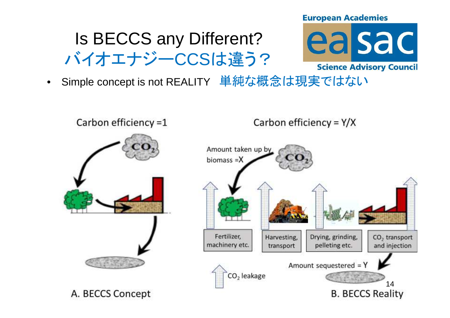## Is BECCS any Different?バイオエナジーCCSは違う?

- ea sac **Science Advisory Council**
- •Simple concept is not REALITY 単純な概念は現実ではない

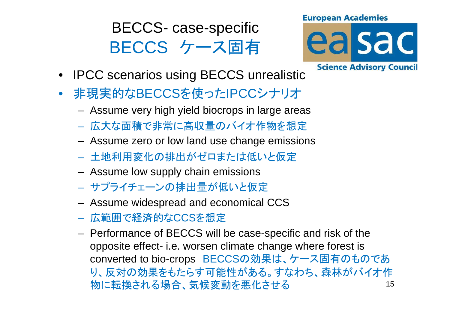# BECCS- case-specificBECCS ケース固有





- IPCC scenarios using BECCS unrealistic
- $\bullet$  非現実的なBECCSを使ったIPCCシナリオ
	- –Assume very high yield biocrops in large areas
	- 広大な面積で非常に高収量のバイオ作物を想定
	- ASSIIIIA 780 KNI KWI 1300 ISA (11300 BUILSS Assume zero or low land use change emissions
	- 土地利用変化の排出がゼロまたは低いと仮定
	- Assume low supply chain emissions
	- <mark>- サプライチェーンの排出量が低いと仮定</mark>
	- ASSUMA WINASHIASH SIM APANAMIPS Assume widespread and economical CCS
	- 広範囲で経済的なCCSを想定
	- $-$  Panningnea ni Ret t S wi Performance of BECCS will be case-specific and risk of the opposite effect- i.e. worsen climate change where forest is converted to bio-crops BECCSの効果は、ケース固有のものであ り、反対の効果をもたらす可能性がある。すなわち、森林がバイオ作物に転換される場合、気候変動を悪化させる $\delta$  15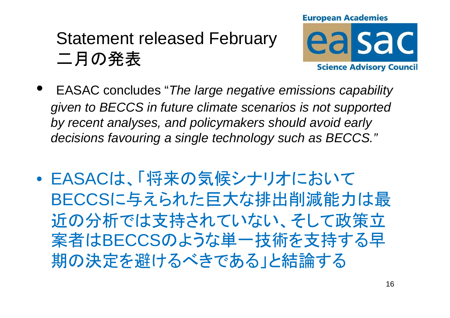### Statement released February二月の発表



- $\bullet$  EASAC concludes "The large negative emissions capability given to BECCS in future climate scenarios is not supported by recent analyses, and policymakers should avoid early decisions favouring a single technology such as BECCS."
- $\bullet$  EASACは、「将来の気候シナリオにおいてBECCSに与えられた巨大な排出削減能力は最近の分析では支持されていない、そして政策立 案者はBECCSのような単一技術を支持する早期の決定を避けるべきである」と結論する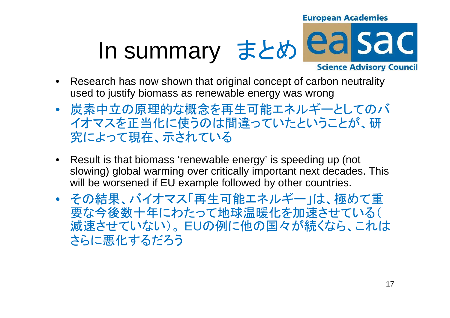### **European Academies** ea sa c In summary まとめ**Science Advisory Council**

- • Research has now shown that original concept of carbon neutrality used to justify biomass as renewable energy was wrong
- • 炭素中立の原理的な概念を再生可能エネルギーとしてのバ イオマスを正当化に使うのは間違っていたということが、研究によって現在、示されている
- Result is that biomass 'renewable energy' is speeding up (not slowing) global warming over critically important next decades. This will be worsened if EU example followed by other countries.
- • その結果、バイオマス「再生可能エネルギー」は、極めて重 要な今後数十年にわたって地球温暖化を加速させている(減速させていない)。EUの例に他の国々が続くなら、これは<br>さこに西ルナスゼスミ さらに悪化するだろう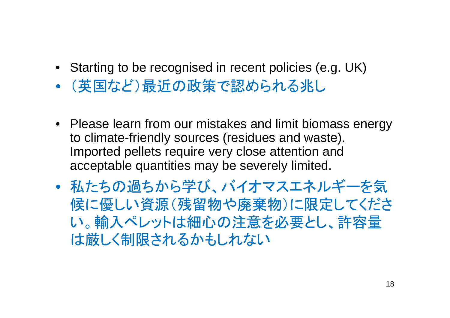- Starting to be recognised in recent policies (e.g. UK)
- •(英国など)最近の政策で認められる兆し
- Please learn from our mistakes and limit biomass energy to climate-friendly sources (residues and waste). Imported pellets require very close attention and acceptable quantities may be severely limited.
- • 私たちの過ちから学び、バイオマスエネルギーを気 候に優しい資源(残留物や廃棄物)に限定してください。輸入ペレットは細心の注意を必要とし、許容量は厳しく制限されるかもしれない